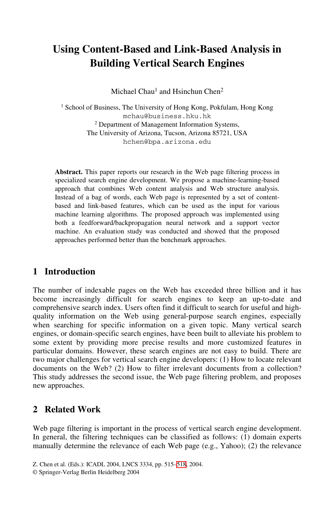# **Using Content-Based and Link-Based Analysis in Building Vertical Search Engines**

Michael Chau<sup>1</sup> and Hsinchun Chen<sup>2</sup>

<sup>1</sup> School of Business, The University of Hong Kong, Pokfulam, Hong Kong mchau@business.hku.hk 2 Department of Management Information Systems, The University of Arizona, Tucson, Arizona 85721, USA hchen@bpa.arizona.edu

**Abstract.** This paper reports our research in the Web page filtering process in specialized search engine development. We propose a machine-learning-based approach that combines Web content analysis and Web structure analysis. Instead of a bag of words, each Web page is represented by a set of contentbased and link-based features, which can be used as the input for various machine learning algorithms. The proposed approach was implemented using both a feedforward/backpropagation neural network and a support vector machine. An evaluation study was conducted and showed that the proposed approaches performed better than the benchmark approaches.

#### **1 Introduction**

The number of indexable pages on the Web has exceeded three billion and it has become increasingly difficult for search engines to keep an up-to-date and comprehensive search index. Users often find it difficult to search for useful and highquality information on the Web using general-purpose search engines, especially when searching for specific information on a given topic. Many vertical search engines, or domain-specific search engines, have been built to alleviate his problem to some extent by providing more precise results and more customized features in particular domains. However, these search engines are not easy to build. There are two major challenges for vertical search engine developers: (1) How to locate relevant documents on the Web? (2) How to filter irrelevant documents from a collection? This study addresses the second issue, the Web page filtering problem, and proposes new approaches.

#### **2 Related Work**

Web page filtering is important in the process of vertical search engine development. In general, the filtering techniques can be classified as follows: (1) domain experts manually determine the relevance of each Web page (e.g., Yahoo); (2) the relevance

Z. Chen et al. (Eds.): ICADL 2004, LNCS 3334, pp. 515–[518,](#page-3-0) 2004.

<sup>©</sup> Springer-Verlag Berlin Heidelberg 2004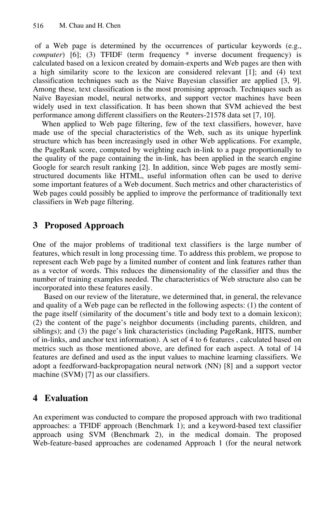of a Web page is determined by the occurrences of particular keywords (e.g., *computer*) [6]; (3) TFIDF (term frequency \* inverse document frequency) is calculated based on a lexicon created by domain-experts and Web pages are then with a high similarity score to the lexicon are considered relevant [1]; and (4) text classification techniques such as the Naive Bayesian classifier are applied [3, 9]. Among these, text classification is the most promising approach. Techniques such as Naïve Bayesian model, neural networks, and support vector machines have been widely used in text classification. It has been shown that SVM achieved the best performance among different classifiers on the Reuters-21578 data set [7, 10].

When applied to Web page filtering, few of the text classifiers, however, have made use of the special characteristics of the Web, such as its unique hyperlink structure which has been increasingly used in other Web applications. For example, the PageRank score, computed by weighting each in-link to a page proportionally to the quality of the page containing the in-link, has been applied in the search engine Google for search result ranking [2]. In addition, since Web pages are mostly semistructured documents like HTML, useful information often can be used to derive some important features of a Web document. Such metrics and other characteristics of Web pages could possibly be applied to improve the performance of traditionally text classifiers in Web page filtering.

# **3 Proposed Approach**

One of the major problems of traditional text classifiers is the large number of features, which result in long processing time. To address this problem, we propose to represent each Web page by a limited number of content and link features rather than as a vector of words. This reduces the dimensionality of the classifier and thus the number of training examples needed. The characteristics of Web structure also can be incorporated into these features easily.

Based on our review of the literature, we determined that, in general, the relevance and quality of a Web page can be reflected in the following aspects: (1) the content of the page itself (similarity of the document's title and body text to a domain lexicon); (2) the content of the page's neighbor documents (including parents, children, and siblings); and (3) the page's link characteristics (including PageRank, HITS, number of in-links, and anchor text information). A set of 4 to 6 features , calculated based on metrics such as those mentioned above, are defined for each aspect. A total of 14 features are defined and used as the input values to machine learning classifiers. We adopt a feedforward-backpropagation neural network (NN) [8] and a support vector machine (SVM) [7] as our classifiers.

# **4 Evaluation**

An experiment was conducted to compare the proposed approach with two traditional approaches: a TFIDF approach (Benchmark 1); and a keyword-based text classifier approach using SVM (Benchmark 2), in the medical domain. The proposed Web-feature-based approaches are codenamed Approach 1 (for the neural network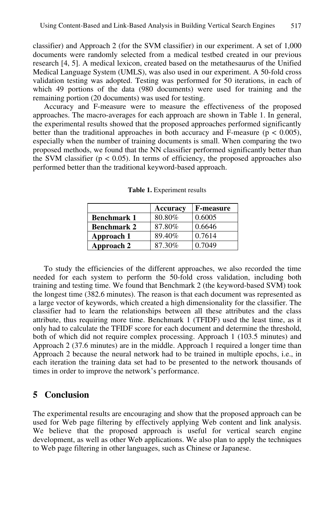classifier) and Approach 2 (for the SVM classifier) in our experiment. A set of 1,000 documents were randomly selected from a medical testbed created in our previous research [4, 5]. A medical lexicon, created based on the metathesaurus of the Unified Medical Language System (UMLS), was also used in our experiment. A 50-fold cross validation testing was adopted. Testing was performed for 50 iterations, in each of which 49 portions of the data (980 documents) were used for training and the remaining portion (20 documents) was used for testing.

Accuracy and F-measure were to measure the effectiveness of the proposed approaches. The macro-averages for each approach are shown in Table 1. In general, the experimental results showed that the proposed approaches performed significantly better than the traditional approaches in both accuracy and F-measure ( $p < 0.005$ ), especially when the number of training documents is small. When comparing the two proposed methods, we found that the NN classifier performed significantly better than the SVM classifier ( $p < 0.05$ ). In terms of efficiency, the proposed approaches also performed better than the traditional keyword-based approach.

|                    | Accuracy | <b>F-measure</b> |
|--------------------|----------|------------------|
| <b>Benchmark 1</b> | 80.80%   | 0.6005           |
| <b>Benchmark 2</b> | 87.80%   | 0.6646           |
| Approach 1         | 89.40%   | 0.7614           |
| Approach 2         | 87.30%   | 0.7049           |

**Table 1.** Experiment results

To study the efficiencies of the different approaches, we also recorded the time needed for each system to perform the 50-fold cross validation, including both training and testing time. We found that Benchmark 2 (the keyword-based SVM) took the longest time (382.6 minutes). The reason is that each document was represented as a large vector of keywords, which created a high dimensionality for the classifier. The classifier had to learn the relationships between all these attributes and the class attribute, thus requiring more time. Benchmark 1 (TFIDF) used the least time, as it only had to calculate the TFIDF score for each document and determine the threshold, both of which did not require complex processing. Approach 1 (103.5 minutes) and Approach 2 (37.6 minutes) are in the middle. Approach 1 required a longer time than Approach 2 because the neural network had to be trained in multiple epochs, i.e., in each iteration the training data set had to be presented to the network thousands of times in order to improve the network's performance.

#### **5 Conclusion**

The experimental results are encouraging and show that the proposed approach can be used for Web page filtering by effectively applying Web content and link analysis. We believe that the proposed approach is useful for vertical search engine development, as well as other Web applications. We also plan to apply the techniques to Web page filtering in other languages, such as Chinese or Japanese.